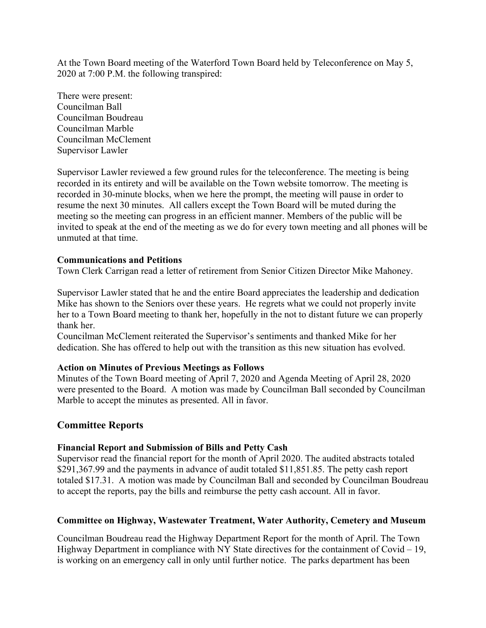At the Town Board meeting of the Waterford Town Board held by Teleconference on May 5, 2020 at 7:00 P.M. the following transpired:

There were present: Councilman Ball Councilman Boudreau Councilman Marble Councilman McClement Supervisor Lawler

Supervisor Lawler reviewed a few ground rules for the teleconference. The meeting is being recorded in its entirety and will be available on the Town website tomorrow. The meeting is recorded in 30-minute blocks, when we here the prompt, the meeting will pause in order to resume the next 30 minutes. All callers except the Town Board will be muted during the meeting so the meeting can progress in an efficient manner. Members of the public will be invited to speak at the end of the meeting as we do for every town meeting and all phones will be unmuted at that time.

## **Communications and Petitions**

Town Clerk Carrigan read a letter of retirement from Senior Citizen Director Mike Mahoney.

Supervisor Lawler stated that he and the entire Board appreciates the leadership and dedication Mike has shown to the Seniors over these years. He regrets what we could not properly invite her to a Town Board meeting to thank her, hopefully in the not to distant future we can properly thank her.

Councilman McClement reiterated the Supervisor's sentiments and thanked Mike for her dedication. She has offered to help out with the transition as this new situation has evolved.

## **Action on Minutes of Previous Meetings as Follows**

Minutes of the Town Board meeting of April 7, 2020 and Agenda Meeting of April 28, 2020 were presented to the Board. A motion was made by Councilman Ball seconded by Councilman Marble to accept the minutes as presented. All in favor.

# **Committee Reports**

# **Financial Report and Submission of Bills and Petty Cash**

Supervisor read the financial report for the month of April 2020. The audited abstracts totaled \$291,367.99 and the payments in advance of audit totaled \$11,851.85. The petty cash report totaled \$17.31. A motion was made by Councilman Ball and seconded by Councilman Boudreau to accept the reports, pay the bills and reimburse the petty cash account. All in favor.

# **Committee on Highway, Wastewater Treatment, Water Authority, Cemetery and Museum**

Councilman Boudreau read the Highway Department Report for the month of April. The Town Highway Department in compliance with NY State directives for the containment of Covid  $-19$ , is working on an emergency call in only until further notice. The parks department has been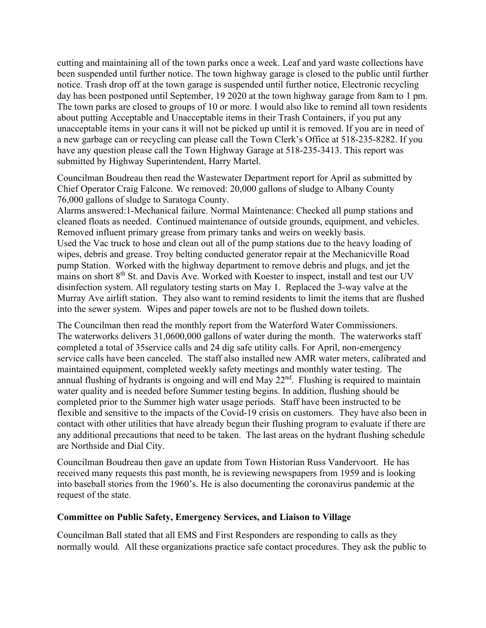cutting and maintaining all of the town parks once a week. Leaf and yard waste collections have been suspended until further notice. The town highway garage is closed to the public until further notice. Trash drop off at the town garage is suspended until further notice, Electronic recycling day has been postponed until September, 19 2020 at the town highway garage from 8am to 1 pm. The town parks are closed to groups of 10 or more. I would also like to remind all town residents about putting Acceptable and Unacceptable items in their Trash Containers, if you put any unacceptable items in your cans it will not be picked up until it is removed. If you are in need of a new garbage can or recycling can please call the Town Clerk's Office at 518-235-8282. If you have any question please call the Town Highway Garage at 518-235-3413. This report was submitted by Highway Superintendent, Harry Martel.

Councilman Boudreau then read the Wastewater Department report for April as submitted by Chief Operator Craig Falcone. We removed: 20,000 gallons of sludge to Albany County 76,000 gallons of sludge to Saratoga County.

Alarms answered:1-Mechanical failure. Normal Maintenance: Checked all pump stations and cleaned floats as needed. Continued maintenance of outside grounds, equipment, and vehicles. Removed influent primary grease from primary tanks and weirs on weekly basis. Used the Vac truck to hose and clean out all of the pump stations due to the heavy loading of wipes, debris and grease. Troy belting conducted generator repair at the Mechanicville Road pump Station. Worked with the highway department to remove debris and plugs, and jet the mains on short 8<sup>th</sup> St. and Davis Ave. Worked with Koester to inspect, install and test our UV disinfection system. All regulatory testing starts on May 1. Replaced the 3-way valve at the Murray Ave airlift station. They also want to remind residents to limit the items that are flushed into the sewer system. Wipes and paper towels are not to be flushed down toilets.

The Councilman then read the monthly report from the Waterford Water Commissioners. The waterworks delivers 31,0600,000 gallons of water during the month. The waterworks staff completed a total of 35service calls and 24 dig safe utility calls. For April, non-emergency service calls have been canceled. The staff also installed new AMR water meters, calibrated and maintained equipment, completed weekly safety meetings and monthly water testing. The annual flushing of hydrants is ongoing and will end May  $22<sup>nd</sup>$ . Flushing is required to maintain water quality and is needed before Summer testing begins. In addition, flushing should be completed prior to the Summer high water usage periods. Staff have been instructed to be flexible and sensitive to the impacts of the Covid-19 crisis on customers. They have also been in contact with other utilities that have already begun their flushing program to evaluate if there are any additional precautions that need to be taken. The last areas on the hydrant flushing schedule are Northside and Dial City.

Councilman Boudreau then gave an update from Town Historian Russ Vandervoort. He has received many requests this past month, he is reviewing newspapers from 1959 and is looking into baseball stories from the 1960's. He is also documenting the coronavirus pandemic at the request of the state.

# **Committee on Public Safety, Emergency Services, and Liaison to Village**

Councilman Ball stated that all EMS and First Responders are responding to calls as they normally would. All these organizations practice safe contact procedures. They ask the public to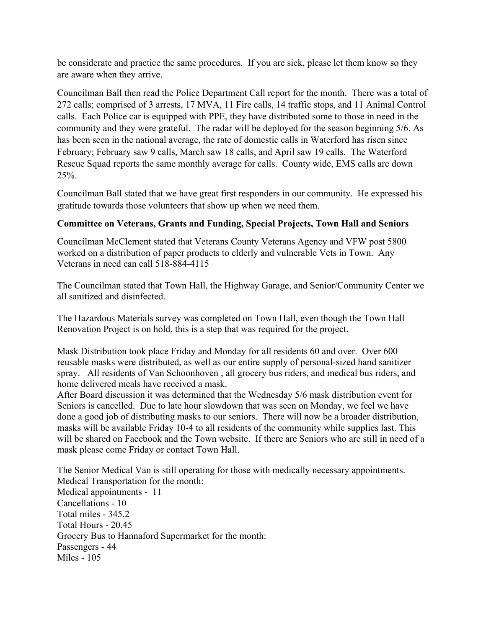be considerate and practice the same procedures. If you are sick, please let them know so they are aware when they arrive.

Councilman Ball then read the Police Department Call report for the month. There was a total of 272 calls; comprised of 3 arrests, 17 MVA, 11 Fire calls, 14 traffic stops, and 11 Animal Control calls. Each Police car is equipped with PPE, they have distributed some to those in need in the community and they were grateful. The radar will be deployed for the season beginning 5/6. As has been seen in the national average, the rate of domestic calls in Waterford has risen since February; February saw 9 calls, March saw 18 calls, and April saw 19 calls. The Waterford Rescue Squad reports the same monthly average for calls. County wide, EMS calls are down 25%.

Councilman Ball stated that we have great first responders in our community. He expressed his gratitude towards those volunteers that show up when we need them.

# **Committee on Veterans, Grants and Funding, Special Projects, Town Hall and Seniors**

Councilman McClement stated that Veterans County Veterans Agency and VFW post 5800 worked on a distribution of paper products to elderly and vulnerable Vets in Town. Any Veterans in need can call 518-884-4115

The Councilman stated that Town Hall, the Highway Garage, and Senior/Community Center we all sanitized and disinfected.

The Hazardous Materials survey was completed on Town Hall, even though the Town Hall Renovation Project is on hold, this is a step that was required for the project.

Mask Distribution took place Friday and Monday for all residents 60 and over. Over 600 reusable masks were distributed, as well as our entire supply of personal-sized hand sanitizer spray. All residents of Van Schoonhoven , all grocery bus riders, and medical bus riders, and home delivered meals have received a mask.

After Board discussion it was determined that the Wednesday 5/6 mask distribution event for Seniors is cancelled. Due to late hour slowdown that was seen on Monday, we feel we have done a good job of distributing masks to our seniors. There will now be a broader distribution, masks will be available Friday 10-4 to all residents of the community while supplies last. This will be shared on Facebook and the Town website. If there are Seniors who are still in need of a mask please come Friday or contact Town Hall.

The Senior Medical Van is still operating for those with medically necessary appointments. Medical Transportation for the month: Medical appointments - 11 Cancellations - 10 Total miles - 345.2 Total Hours - 20.45 Grocery Bus to Hannaford Supermarket for the month: Passengers - 44 Miles - 105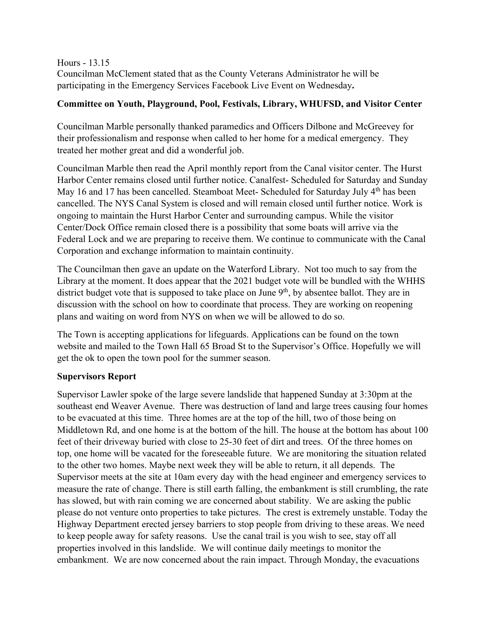Hours - 13.15 Councilman McClement stated that as the County Veterans Administrator he will be participating in the Emergency Services Facebook Live Event on Wednesday**.** 

# **Committee on Youth, Playground, Pool, Festivals, Library, WHUFSD, and Visitor Center**

Councilman Marble personally thanked paramedics and Officers Dilbone and McGreevey for their professionalism and response when called to her home for a medical emergency. They treated her mother great and did a wonderful job.

Councilman Marble then read the April monthly report from the Canal visitor center. The Hurst Harbor Center remains closed until further notice. Canalfest- Scheduled for Saturday and Sunday May 16 and 17 has been cancelled. Steamboat Meet- Scheduled for Saturday July 4<sup>th</sup> has been cancelled. The NYS Canal System is closed and will remain closed until further notice. Work is ongoing to maintain the Hurst Harbor Center and surrounding campus. While the visitor Center/Dock Office remain closed there is a possibility that some boats will arrive via the Federal Lock and we are preparing to receive them. We continue to communicate with the Canal Corporation and exchange information to maintain continuity.

The Councilman then gave an update on the Waterford Library. Not too much to say from the Library at the moment. It does appear that the 2021 budget vote will be bundled with the WHHS district budget vote that is supposed to take place on June  $9<sup>th</sup>$ , by absentee ballot. They are in discussion with the school on how to coordinate that process. They are working on reopening plans and waiting on word from NYS on when we will be allowed to do so.

The Town is accepting applications for lifeguards. Applications can be found on the town website and mailed to the Town Hall 65 Broad St to the Supervisor's Office. Hopefully we will get the ok to open the town pool for the summer season.

# **Supervisors Report**

Supervisor Lawler spoke of the large severe landslide that happened Sunday at 3:30pm at the southeast end Weaver Avenue. There was destruction of land and large trees causing four homes to be evacuated at this time. Three homes are at the top of the hill, two of those being on Middletown Rd, and one home is at the bottom of the hill. The house at the bottom has about 100 feet of their driveway buried with close to 25-30 feet of dirt and trees. Of the three homes on top, one home will be vacated for the foreseeable future. We are monitoring the situation related to the other two homes. Maybe next week they will be able to return, it all depends. The Supervisor meets at the site at 10am every day with the head engineer and emergency services to measure the rate of change. There is still earth falling, the embankment is still crumbling, the rate has slowed, but with rain coming we are concerned about stability. We are asking the public please do not venture onto properties to take pictures. The crest is extremely unstable. Today the Highway Department erected jersey barriers to stop people from driving to these areas. We need to keep people away for safety reasons. Use the canal trail is you wish to see, stay off all properties involved in this landslide. We will continue daily meetings to monitor the embankment. We are now concerned about the rain impact. Through Monday, the evacuations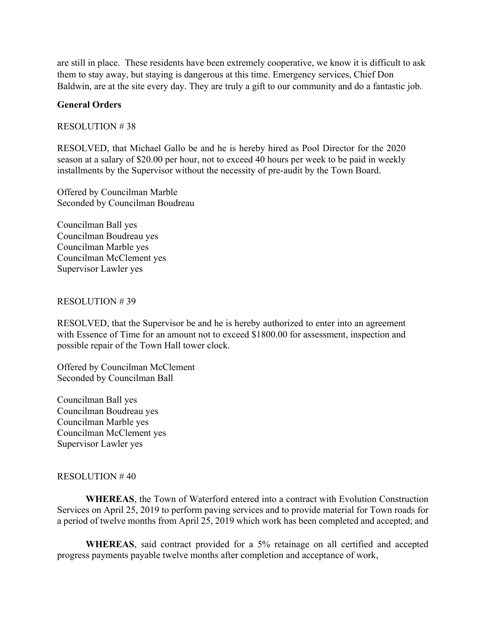are still in place. These residents have been extremely cooperative, we know it is difficult to ask them to stay away, but staying is dangerous at this time. Emergency services, Chief Don Baldwin, are at the site every day. They are truly a gift to our community and do a fantastic job.

### **General Orders**

### RESOLUTION # 38

RESOLVED, that Michael Gallo be and he is hereby hired as Pool Director for the 2020 season at a salary of \$20.00 per hour, not to exceed 40 hours per week to be paid in weekly installments by the Supervisor without the necessity of pre-audit by the Town Board.

Offered by Councilman Marble Seconded by Councilman Boudreau

Councilman Ball yes Councilman Boudreau yes Councilman Marble yes Councilman McClement yes Supervisor Lawler yes

### RESOLUTION # 39

RESOLVED, that the Supervisor be and he is hereby authorized to enter into an agreement with Essence of Time for an amount not to exceed \$1800.00 for assessment, inspection and possible repair of the Town Hall tower clock.

Offered by Councilman McClement Seconded by Councilman Ball

Councilman Ball yes Councilman Boudreau yes Councilman Marble yes Councilman McClement yes Supervisor Lawler yes

### RESOLUTION # 40

**WHEREAS**, the Town of Waterford entered into a contract with Evolution Construction Services on April 25, 2019 to perform paving services and to provide material for Town roads for a period of twelve months from April 25, 2019 which work has been completed and accepted; and

**WHEREAS**, said contract provided for a 5% retainage on all certified and accepted progress payments payable twelve months after completion and acceptance of work,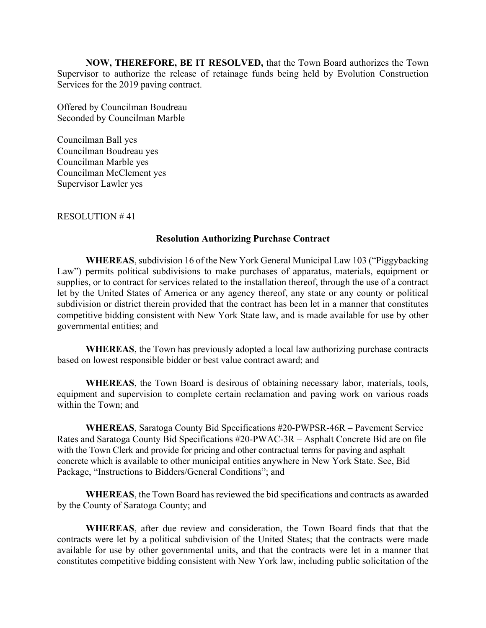**NOW, THEREFORE, BE IT RESOLVED,** that the Town Board authorizes the Town Supervisor to authorize the release of retainage funds being held by Evolution Construction Services for the 2019 paving contract.

Offered by Councilman Boudreau Seconded by Councilman Marble

Councilman Ball yes Councilman Boudreau yes Councilman Marble yes Councilman McClement yes Supervisor Lawler yes

RESOLUTION # 41

### **Resolution Authorizing Purchase Contract**

**WHEREAS**, subdivision 16 of the New York General Municipal Law 103 ("Piggybacking Law") permits political subdivisions to make purchases of apparatus, materials, equipment or supplies, or to contract for services related to the installation thereof, through the use of a contract let by the United States of America or any agency thereof, any state or any county or political subdivision or district therein provided that the contract has been let in a manner that constitutes competitive bidding consistent with New York State law, and is made available for use by other governmental entities; and

**WHEREAS**, the Town has previously adopted a local law authorizing purchase contracts based on lowest responsible bidder or best value contract award; and

 **WHEREAS**, the Town Board is desirous of obtaining necessary labor, materials, tools, equipment and supervision to complete certain reclamation and paving work on various roads within the Town; and

 **WHEREAS**, Saratoga County Bid Specifications #20-PWPSR-46R – Pavement Service Rates and Saratoga County Bid Specifications #20-PWAC-3R – Asphalt Concrete Bid are on file with the Town Clerk and provide for pricing and other contractual terms for paving and asphalt concrete which is available to other municipal entities anywhere in New York State. See, Bid Package, "Instructions to Bidders/General Conditions"; and

**WHEREAS**, the Town Board has reviewed the bid specifications and contracts as awarded by the County of Saratoga County; and

**WHEREAS**, after due review and consideration, the Town Board finds that that the contracts were let by a political subdivision of the United States; that the contracts were made available for use by other governmental units, and that the contracts were let in a manner that constitutes competitive bidding consistent with New York law, including public solicitation of the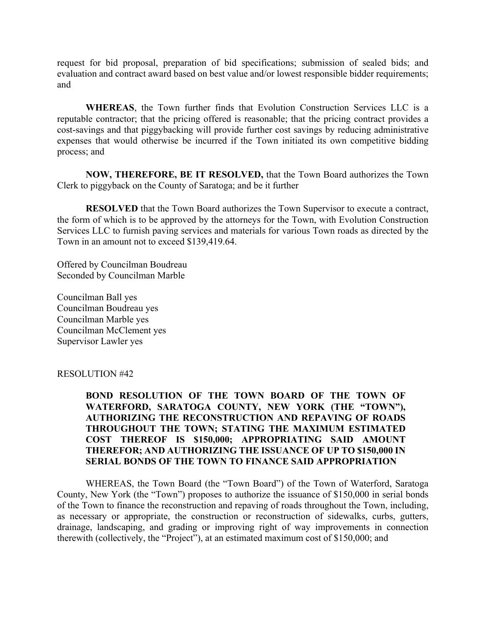request for bid proposal, preparation of bid specifications; submission of sealed bids; and evaluation and contract award based on best value and/or lowest responsible bidder requirements; and

**WHEREAS**, the Town further finds that Evolution Construction Services LLC is a reputable contractor; that the pricing offered is reasonable; that the pricing contract provides a cost-savings and that piggybacking will provide further cost savings by reducing administrative expenses that would otherwise be incurred if the Town initiated its own competitive bidding process; and

**NOW, THEREFORE, BE IT RESOLVED,** that the Town Board authorizes the Town Clerk to piggyback on the County of Saratoga; and be it further

**RESOLVED** that the Town Board authorizes the Town Supervisor to execute a contract, the form of which is to be approved by the attorneys for the Town, with Evolution Construction Services LLC to furnish paving services and materials for various Town roads as directed by the Town in an amount not to exceed \$139,419.64.

Offered by Councilman Boudreau Seconded by Councilman Marble

Councilman Ball yes Councilman Boudreau yes Councilman Marble yes Councilman McClement yes Supervisor Lawler yes

RESOLUTION #42

## **BOND RESOLUTION OF THE TOWN BOARD OF THE TOWN OF WATERFORD, SARATOGA COUNTY, NEW YORK (THE "TOWN"), AUTHORIZING THE RECONSTRUCTION AND REPAVING OF ROADS THROUGHOUT THE TOWN; STATING THE MAXIMUM ESTIMATED COST THEREOF IS \$150,000; APPROPRIATING SAID AMOUNT THEREFOR; AND AUTHORIZING THE ISSUANCE OF UP TO \$150,000 IN SERIAL BONDS OF THE TOWN TO FINANCE SAID APPROPRIATION**

WHEREAS, the Town Board (the "Town Board") of the Town of Waterford, Saratoga County, New York (the "Town") proposes to authorize the issuance of \$150,000 in serial bonds of the Town to finance the reconstruction and repaving of roads throughout the Town, including, as necessary or appropriate, the construction or reconstruction of sidewalks, curbs, gutters, drainage, landscaping, and grading or improving right of way improvements in connection therewith (collectively, the "Project"), at an estimated maximum cost of \$150,000; and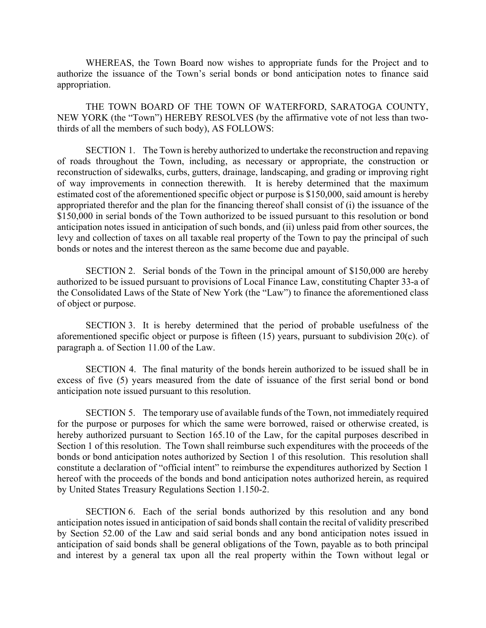WHEREAS, the Town Board now wishes to appropriate funds for the Project and to authorize the issuance of the Town's serial bonds or bond anticipation notes to finance said appropriation.

THE TOWN BOARD OF THE TOWN OF WATERFORD, SARATOGA COUNTY, NEW YORK (the "Town") HEREBY RESOLVES (by the affirmative vote of not less than twothirds of all the members of such body), AS FOLLOWS:

SECTION 1. The Town is hereby authorized to undertake the reconstruction and repaving of roads throughout the Town, including, as necessary or appropriate, the construction or reconstruction of sidewalks, curbs, gutters, drainage, landscaping, and grading or improving right of way improvements in connection therewith. It is hereby determined that the maximum estimated cost of the aforementioned specific object or purpose is \$150,000, said amount is hereby appropriated therefor and the plan for the financing thereof shall consist of (i) the issuance of the \$150,000 in serial bonds of the Town authorized to be issued pursuant to this resolution or bond anticipation notes issued in anticipation of such bonds, and (ii) unless paid from other sources, the levy and collection of taxes on all taxable real property of the Town to pay the principal of such bonds or notes and the interest thereon as the same become due and payable.

SECTION 2. Serial bonds of the Town in the principal amount of \$150,000 are hereby authorized to be issued pursuant to provisions of Local Finance Law, constituting Chapter 33-a of the Consolidated Laws of the State of New York (the "Law") to finance the aforementioned class of object or purpose.

SECTION 3. It is hereby determined that the period of probable usefulness of the aforementioned specific object or purpose is fifteen (15) years, pursuant to subdivision 20(c). of paragraph a. of Section 11.00 of the Law.

SECTION 4. The final maturity of the bonds herein authorized to be issued shall be in excess of five (5) years measured from the date of issuance of the first serial bond or bond anticipation note issued pursuant to this resolution.

SECTION 5. The temporary use of available funds of the Town, not immediately required for the purpose or purposes for which the same were borrowed, raised or otherwise created, is hereby authorized pursuant to Section 165.10 of the Law, for the capital purposes described in Section 1 of this resolution. The Town shall reimburse such expenditures with the proceeds of the bonds or bond anticipation notes authorized by Section 1 of this resolution. This resolution shall constitute a declaration of "official intent" to reimburse the expenditures authorized by Section 1 hereof with the proceeds of the bonds and bond anticipation notes authorized herein, as required by United States Treasury Regulations Section 1.150-2.

SECTION 6. Each of the serial bonds authorized by this resolution and any bond anticipation notes issued in anticipation of said bonds shall contain the recital of validity prescribed by Section 52.00 of the Law and said serial bonds and any bond anticipation notes issued in anticipation of said bonds shall be general obligations of the Town, payable as to both principal and interest by a general tax upon all the real property within the Town without legal or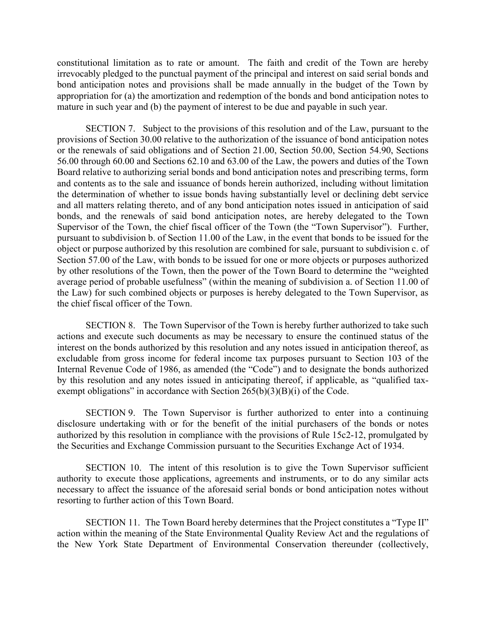constitutional limitation as to rate or amount. The faith and credit of the Town are hereby irrevocably pledged to the punctual payment of the principal and interest on said serial bonds and bond anticipation notes and provisions shall be made annually in the budget of the Town by appropriation for (a) the amortization and redemption of the bonds and bond anticipation notes to mature in such year and (b) the payment of interest to be due and payable in such year.

SECTION 7. Subject to the provisions of this resolution and of the Law, pursuant to the provisions of Section 30.00 relative to the authorization of the issuance of bond anticipation notes or the renewals of said obligations and of Section 21.00, Section 50.00, Section 54.90, Sections 56.00 through 60.00 and Sections 62.10 and 63.00 of the Law, the powers and duties of the Town Board relative to authorizing serial bonds and bond anticipation notes and prescribing terms, form and contents as to the sale and issuance of bonds herein authorized, including without limitation the determination of whether to issue bonds having substantially level or declining debt service and all matters relating thereto, and of any bond anticipation notes issued in anticipation of said bonds, and the renewals of said bond anticipation notes, are hereby delegated to the Town Supervisor of the Town, the chief fiscal officer of the Town (the "Town Supervisor"). Further, pursuant to subdivision b. of Section 11.00 of the Law, in the event that bonds to be issued for the object or purpose authorized by this resolution are combined for sale, pursuant to subdivision c. of Section 57.00 of the Law, with bonds to be issued for one or more objects or purposes authorized by other resolutions of the Town, then the power of the Town Board to determine the "weighted average period of probable usefulness" (within the meaning of subdivision a. of Section 11.00 of the Law) for such combined objects or purposes is hereby delegated to the Town Supervisor, as the chief fiscal officer of the Town.

SECTION 8. The Town Supervisor of the Town is hereby further authorized to take such actions and execute such documents as may be necessary to ensure the continued status of the interest on the bonds authorized by this resolution and any notes issued in anticipation thereof, as excludable from gross income for federal income tax purposes pursuant to Section 103 of the Internal Revenue Code of 1986, as amended (the "Code") and to designate the bonds authorized by this resolution and any notes issued in anticipating thereof, if applicable, as "qualified taxexempt obligations" in accordance with Section  $265(b)(3)(B)(i)$  of the Code.

SECTION 9. The Town Supervisor is further authorized to enter into a continuing disclosure undertaking with or for the benefit of the initial purchasers of the bonds or notes authorized by this resolution in compliance with the provisions of Rule 15c2-12, promulgated by the Securities and Exchange Commission pursuant to the Securities Exchange Act of 1934.

SECTION 10. The intent of this resolution is to give the Town Supervisor sufficient authority to execute those applications, agreements and instruments, or to do any similar acts necessary to affect the issuance of the aforesaid serial bonds or bond anticipation notes without resorting to further action of this Town Board.

SECTION 11. The Town Board hereby determines that the Project constitutes a "Type II" action within the meaning of the State Environmental Quality Review Act and the regulations of the New York State Department of Environmental Conservation thereunder (collectively,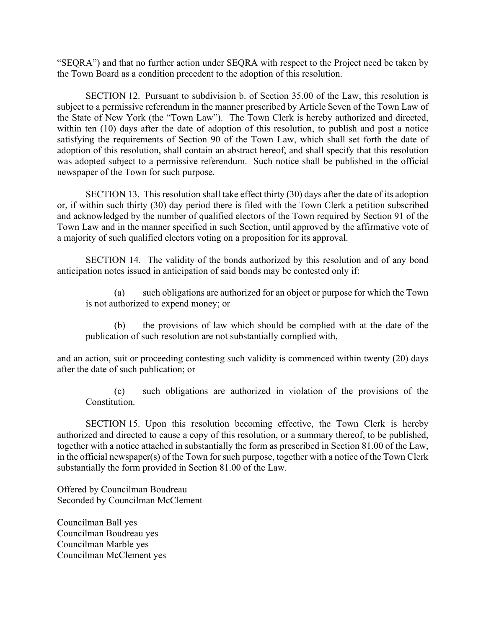"SEQRA") and that no further action under SEQRA with respect to the Project need be taken by the Town Board as a condition precedent to the adoption of this resolution.

SECTION 12. Pursuant to subdivision b. of Section 35.00 of the Law, this resolution is subject to a permissive referendum in the manner prescribed by Article Seven of the Town Law of the State of New York (the "Town Law"). The Town Clerk is hereby authorized and directed, within ten (10) days after the date of adoption of this resolution, to publish and post a notice satisfying the requirements of Section 90 of the Town Law, which shall set forth the date of adoption of this resolution, shall contain an abstract hereof, and shall specify that this resolution was adopted subject to a permissive referendum. Such notice shall be published in the official newspaper of the Town for such purpose.

SECTION 13. This resolution shall take effect thirty (30) days after the date of its adoption or, if within such thirty (30) day period there is filed with the Town Clerk a petition subscribed and acknowledged by the number of qualified electors of the Town required by Section 91 of the Town Law and in the manner specified in such Section, until approved by the affirmative vote of a majority of such qualified electors voting on a proposition for its approval.

SECTION 14. The validity of the bonds authorized by this resolution and of any bond anticipation notes issued in anticipation of said bonds may be contested only if:

(a) such obligations are authorized for an object or purpose for which the Town is not authorized to expend money; or

(b) the provisions of law which should be complied with at the date of the publication of such resolution are not substantially complied with,

and an action, suit or proceeding contesting such validity is commenced within twenty (20) days after the date of such publication; or

(c) such obligations are authorized in violation of the provisions of the Constitution.

SECTION 15. Upon this resolution becoming effective, the Town Clerk is hereby authorized and directed to cause a copy of this resolution, or a summary thereof, to be published, together with a notice attached in substantially the form as prescribed in Section 81.00 of the Law, in the official newspaper(s) of the Town for such purpose, together with a notice of the Town Clerk substantially the form provided in Section 81.00 of the Law.

Offered by Councilman Boudreau Seconded by Councilman McClement

Councilman Ball yes Councilman Boudreau yes Councilman Marble yes Councilman McClement yes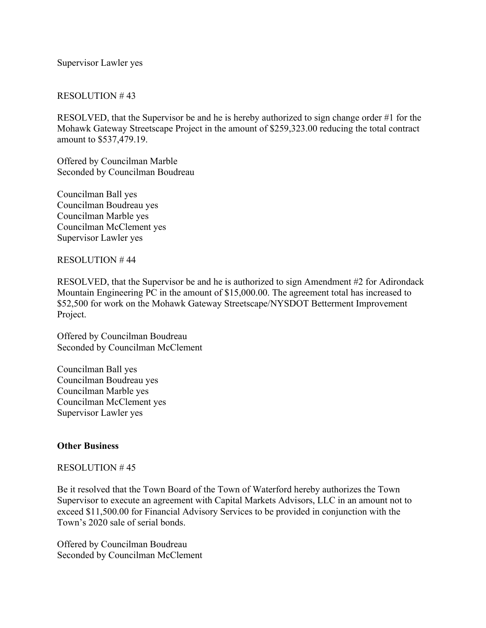Supervisor Lawler yes

## RESOLUTION # 43

RESOLVED, that the Supervisor be and he is hereby authorized to sign change order #1 for the Mohawk Gateway Streetscape Project in the amount of \$259,323.00 reducing the total contract amount to \$537,479.19.

Offered by Councilman Marble Seconded by Councilman Boudreau

Councilman Ball yes Councilman Boudreau yes Councilman Marble yes Councilman McClement yes Supervisor Lawler yes

RESOLUTION # 44

RESOLVED, that the Supervisor be and he is authorized to sign Amendment #2 for Adirondack Mountain Engineering PC in the amount of \$15,000.00. The agreement total has increased to \$52,500 for work on the Mohawk Gateway Streetscape/NYSDOT Betterment Improvement Project.

Offered by Councilman Boudreau Seconded by Councilman McClement

Councilman Ball yes Councilman Boudreau yes Councilman Marble yes Councilman McClement yes Supervisor Lawler yes

## **Other Business**

### RESOLUTION # 45

Be it resolved that the Town Board of the Town of Waterford hereby authorizes the Town Supervisor to execute an agreement with Capital Markets Advisors, LLC in an amount not to exceed \$11,500.00 for Financial Advisory Services to be provided in conjunction with the Town's 2020 sale of serial bonds.

Offered by Councilman Boudreau Seconded by Councilman McClement